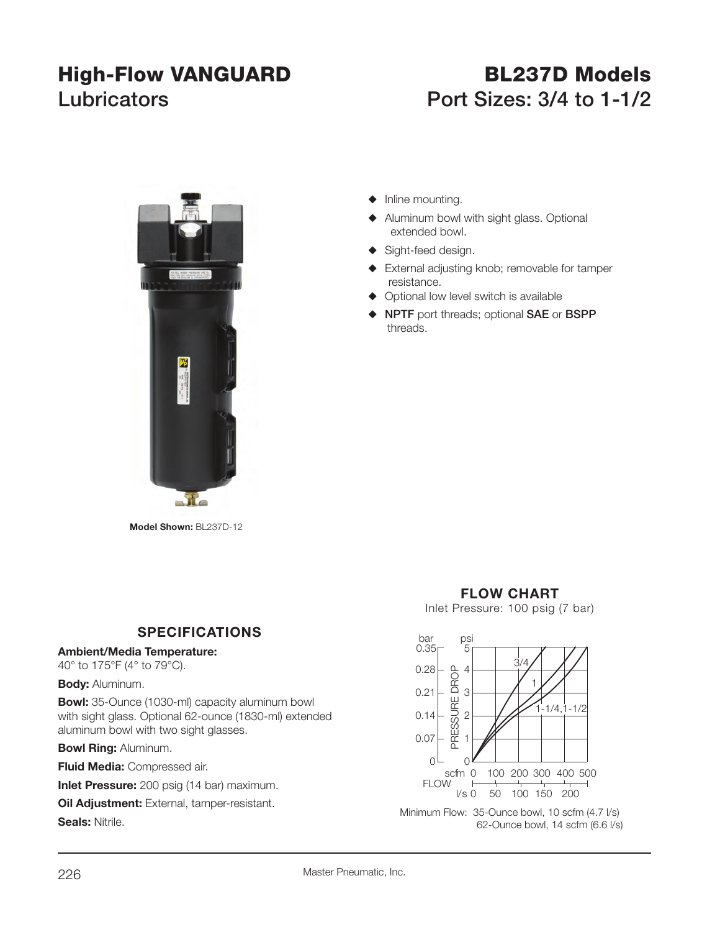# **High-Flow VANGUARD BL237D Models Lubricators Port Sizes: 3/4 to 1-1/2**



**Model Shown:** BL237D-12

## **SPECIFICATIONS**

### **Ambient/Media Temperature:**

40° to 175°F (4° to 79°C).

#### **Body:** Aluminum.

**Bowl:** 35-Ounce (1030-ml) capacity aluminum bowl with sight glass. Optional 62-ounce (1830-ml) extended aluminum bowl with two sight glasses.

**Bowl Ring:** Aluminum.

**Fluid Media:** Compressed air.

**Inlet Pressure:** 200 psig (14 bar) maximum.

**Oil Adjustment:** External, tamper-resistant.

**Seals:** Nitrile.



- $\blacklozenge$  Aluminum bowl with sight glass. Optional extended bowl.
- $\blacklozenge$  Sight-feed design.
- $\blacklozenge$  External adjusting knob; removable for tamper resistance.
- $\blacklozenge$  Optional low level switch is available
- S **NPTF** port threads; optional **SAE** or **BSPP** threads.

### **FLOW CHART**

Inlet Pressure: 100 psig (7 bar)



Minimum Flow: 35-Ounce bowl, 10 scfm (4.7 l/s)<br>62-Ounce bowl, 14 scfm (6.6 l/s)